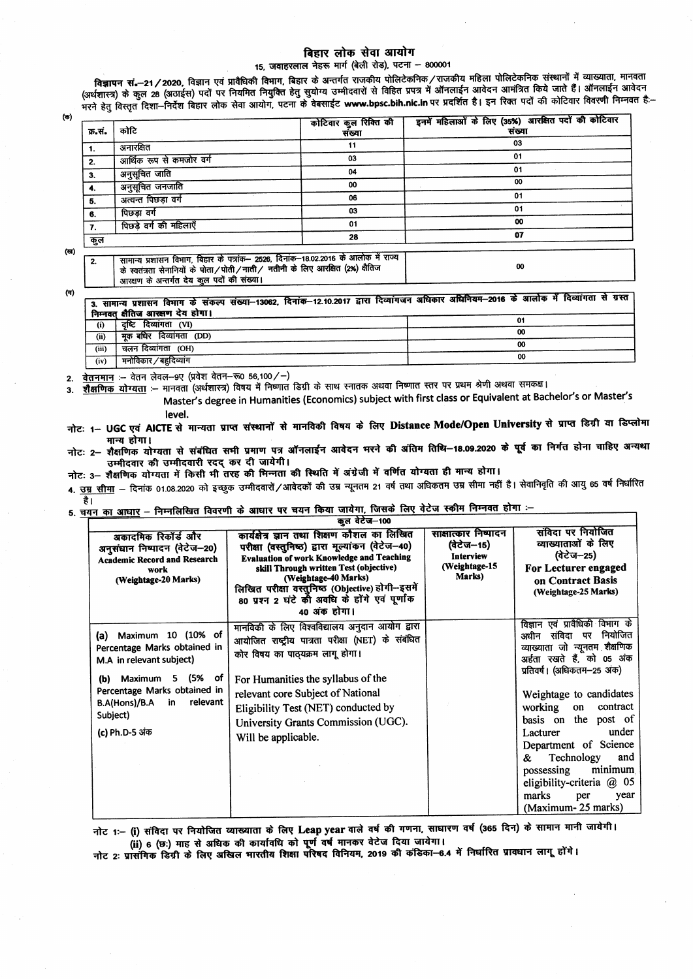## बिहार लोक सेवा आयोग

15. जवाहरलाल नेहरू मार्ग (बेली रोड), पटना - 800001

विज्ञापन सं.—21 / 2020, विज्ञान एवं प्रावैधिकी विभाग, बिहार के अन्तर्गत राजकीय पोलिटेकनिक / राजकीय महिला पोलिटेकनिक संस्थानों में व्याख्याता, मानवता रसन्तराय्या का उपादन कर समाप्त हैं कि साथ को साथ कर समाप्त करने के लिए साथ कर समाप्त करने के लिए कि साथ कर समाप<br>भरने हेतु विस्तृत दिशा–निर्देश बिहार लोक सेवा आयोग, पटना के वेबसाईट www.bpsc.bih.nic.in पर प्रदर्शित है। इन र

 $(\Phi)$ 

| क्र.सं.        | कोटि                                                                                                                                                                                                             | कोटिवार कुल रिक्ति की<br>संख्या | इनमें महिलाओं के लिए (35%) आरक्षित पदों की कोटिवार<br>संख्या |  |  |
|----------------|------------------------------------------------------------------------------------------------------------------------------------------------------------------------------------------------------------------|---------------------------------|--------------------------------------------------------------|--|--|
| $\mathbf{1}$ . | अनारक्षित                                                                                                                                                                                                        | 11                              | 03                                                           |  |  |
| 2.             | आर्थिक रूप से कमजोर वर्ग                                                                                                                                                                                         | 03                              | 01                                                           |  |  |
| 3.             | अनुसूचित जाति                                                                                                                                                                                                    | 04                              | 01                                                           |  |  |
| 4.             | अनुसूचित जनजाति                                                                                                                                                                                                  | 00                              | 00                                                           |  |  |
| 5.             | अत्यन्त पिछड़ा वर्ग                                                                                                                                                                                              | 06                              | 01                                                           |  |  |
| 6.             | पिछडा वर्ग                                                                                                                                                                                                       | 03                              | 01                                                           |  |  |
| 7.             | पिछड़े वर्ग की महिलाएँ                                                                                                                                                                                           | 01                              | 00                                                           |  |  |
| कुल            |                                                                                                                                                                                                                  | 28                              | 07                                                           |  |  |
|                |                                                                                                                                                                                                                  |                                 |                                                              |  |  |
| 2.             | सामान्य प्रशासन विभाग, बिहार के पत्रांक– 2526, दिनांक–18.02.2016 के आलोक में राज्य<br>के स्वतंत्रता सेनानियों के पोता/पोती/नाती/ नतीनी के लिए आरक्षित (2%) क्षैतिज<br>आरक्षण के अन्तर्गत देय कुल पदों की संख्या। |                                 | 00                                                           |  |  |

 $(1)$ 

 $3.$ 

 $(\mathbf{a})$ 

3. सामान्य प्रशासन विमाग के संकल्प संख्या–13062, दिनांक–12.10.2017 द्वारा दिव्यांगजन अधिकार अधिनियम–2016 के आलोक में दिव्यांगता से ग्रस्त निम्नवत क्षैतिज आरक्षण देय होगा।  $\overline{01}$  $\overline{a}$   $\overline{b}$   $\overline{c}$   $\overline{c}$   $\overline{c}$   $\overline{c}$   $\overline{c}$   $\overline{c}$   $\overline{c}$   $\overline{c}$   $\overline{c}$   $\overline{c}$   $\overline{c}$   $\overline{c}$   $\overline{c}$   $\overline{c}$   $\overline{c}$   $\overline{c}$   $\overline{c}$   $\overline{c}$   $\overline{c}$   $\overline{c}$   $\overline{c}$   $\overline{c}$   $\overline{$ 

| (ii)  | ' मूक बधिर दिव्यांगता (DD) | 00 |
|-------|----------------------------|----|
| (iii) | (OH)<br>चलन दिव्यांगता     | 00 |
| (iv)  | मनोविकार / बहुदिव्यांग     | 00 |
|       |                            |    |

वेतनमान :- वेतन लेवल-९ए (प्रवेश वेतन-रू0 56,100/-)  $2.$ 

शैक्षणिक योग्यता :-- मानवता (अर्थशास्त्र) विषय में निष्णात डिग्री के साथ स्नातक अथवा निष्णात स्तर पर प्रथम श्रेणी अथवा समकक्ष।

Master's degree in Humanities (Economics) subject with first class or Equivalent at Bachelor's or Master's

level.

नोटः 1– UGC एवं AICTE से मान्यता प्राप्त संस्थानों से मानविकी विषय के लिए Distance Mode/Open University से प्राप्त डिग्री या डिप्लोमा मान्य होगा।

नोटः 2– शैक्षणिक योग्यता से संबंधित सभी प्रमाण पत्र ऑनलाईन आवेदन भरने की अंतिम तिथि–18.09.2020 के पूर्व का निर्गत होना चाहिए अन्यथा उम्मीदवार की उम्मीदवारी रदद् कर दी जायेगी।

नोटः 3- शैक्षणिक योग्यता में किसी भी तरह की मिन्नता की स्थिति में अंग्रेजी में वर्णित योग्यता ही मान्य होगा।

4. <u>उम्र सीमा</u> — दिनांक 01.08.2020 को इच्छुक उम्मीदवारों/आवेदकों की उम्र न्यूनतम 21 वर्ष तथा अधिकतम उम्र सीमा नहीं है। सेवानिवृति की आयु 65 वर्ष निर्धारित है।

5. चयन का आधार – निम्नलिखित विवरणी के आधार पर चयन किया जायेगा, जिसके लिए वेटेज स्कीम निम्नवत होगा :-

| <b>PM</b> 4C 4-100                                                                                                                                                                                          |                                                                                                                                                                                                                                                                                                                                             |                                                                                   |                                                                                                                                                                                                                                                                                                                                                                                                                              |  |  |
|-------------------------------------------------------------------------------------------------------------------------------------------------------------------------------------------------------------|---------------------------------------------------------------------------------------------------------------------------------------------------------------------------------------------------------------------------------------------------------------------------------------------------------------------------------------------|-----------------------------------------------------------------------------------|------------------------------------------------------------------------------------------------------------------------------------------------------------------------------------------------------------------------------------------------------------------------------------------------------------------------------------------------------------------------------------------------------------------------------|--|--|
| अकादमिक रिकॉर्ड और<br>अनुसंधान निष्पादन (वेटेज-20)<br><b>Academic Record and Research</b><br>work<br>(Weightage-20 Marks)                                                                                   | कार्यक्षेत्र ज्ञान तथा शिक्षण कौशल का लिखित<br>परीक्षा (वस्तुनिष्ठ) द्वारा मूल्यांकन (वेटेज-40)<br><b>Evaluation of work Knowledge and Teaching</b><br>skill Through written Test (objective)<br>(Weightage-40 Marks)<br>लिखित परीक्षा वस्तुनिष्ठ (Objective) होगी--इसमें<br>80 प्रश्न 2 घंटे को अवधि के होंगे एवं पूर्णांक<br>40 अंक होगा। | साक्षात्कार निष्पादन<br>(वेटेज–15)<br><b>Interview</b><br>(Weightage-15<br>Marks) | संविदा पर नियोजित<br>व्याख्याताओं के लिए<br>(वेटेज–25)<br>For Lecturer engaged<br>on Contract Basis<br>(Weightage-25 Marks)                                                                                                                                                                                                                                                                                                  |  |  |
| Maximum 10 (10% of<br>(a)<br>Percentage Marks obtained in<br>M.A in relevant subject)<br>Maximum 5 (5% of<br>(b)<br>Percentage Marks obtained in<br>B.A(Hons)/B.A in relevant<br>Subject)<br>(c) Ph.D-5 अंक | मानविकी के लिए विश्वविद्यालय अनुदान आयोग द्वारा<br>आयोजित राष्ट्रीय पात्रता परीक्षा (NET) के संबंधित<br>कोर विषय का पाठ्यक्रम लागू होगा।<br>For Humanities the syllabus of the<br>relevant core Subject of National<br>Eligibility Test (NET) conducted by<br>University Grants Commission (UGC).<br>Will be applicable.                    |                                                                                   | विज्ञान एवं प्रावैधिकी विभाग के<br>अधीन संविदा पर नियोजित<br>व्याख्याता जो न्यूनतम शैक्षणिक<br>अईता रखते हैं, को 05 अंक<br>प्रतिवर्ष। (अधिकतम–25 अंक)<br>Weightage to candidates<br>contract<br>working<br>on<br>the post of<br>basis on<br>under<br>Lacturer<br>Department of Science<br>Technology<br>&.<br>and<br>minimum<br>possessing<br>eligibility-criteria $\omega$ 05<br>marks<br>year<br>per<br>(Maximum-25 marks) |  |  |

नोट 1:- (i) संविदा पर नियोजित व्याख्याता के लिए Leap year वाले वर्ष की गणना, साधारण वर्ष (365 दिन) के सामान मानी जायेगी। ...<br>(ii) 6 (छः) माह से अधिक की कार्यावधि को पूर्ण वर्ष मानकर वेटेज दिया जायेगा।<br>नोट 2: प्रासंगिक डिग्री के लिए अखिल मारतीय शिक्षा परिषद विनियम, 2019 की कंडिका—6.4 में निर्धारित प्रावधान लागू होंगे।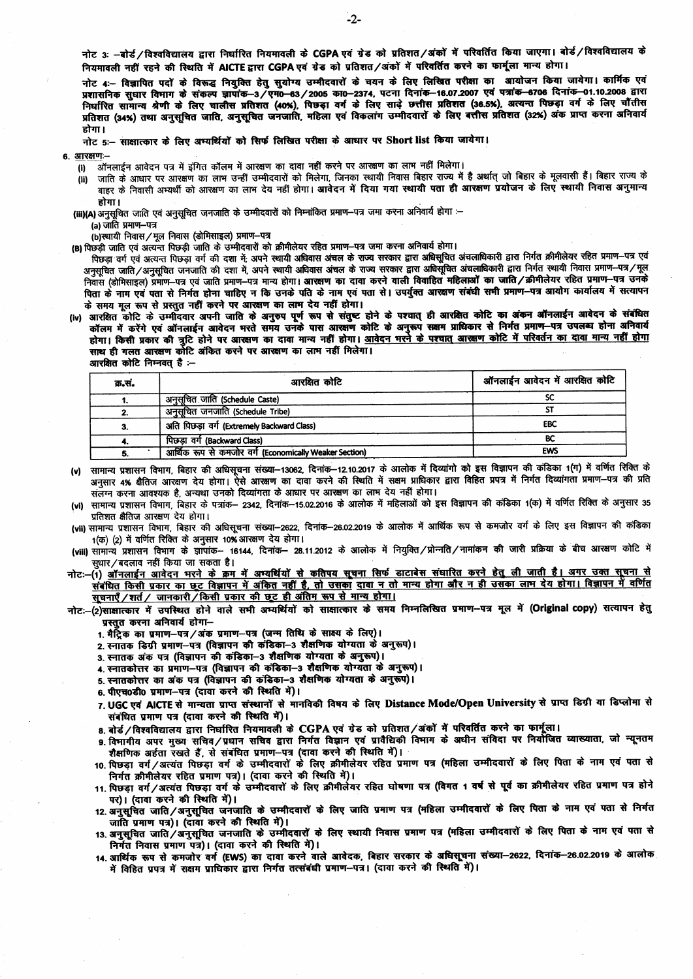नोट 3: -बोर्ड/विश्वविद्यालय द्वारा निर्धारित नियमावली के CGPA एवं ग्रेड को प्रतिशत/अंकों में परिवर्तित किया जाएगा। बोर्ड/विश्वविद्यालय के नियमावली नहीं रहने की स्थिति में AICTE द्वारा CGPA एवं ग्रेड को प्रतिशत/अंकों में परिवर्तित करने का फार्मूला मान्य होगा।

नोट 4:- विज्ञापित पदों के विरूद्ध नियुक्ति हेतु सुयोग्य उम्मीदवारों के चयन के लिए लिखित परीक्षा का आयोजन किया जायेगा। कार्मिक एवं प्रशासनिक सुधार विमाग के संकल्प ज्ञापांक-3/एम0-63/2005 का0-2374, पटना दिनांक-16.07.2007 एवं पत्रांक-6706 दिनांक-01.10.2008 द्वारा निर्धारित सामान्य श्रेणी के लिए चालीस प्रतिशत (40%), पिछड़ा वर्ग के लिए साढ़े छत्तीस प्रतिशत (36.5%), अत्यन्त पिछड़ा वर्ग के लिए चौंतीस<br>प्रतिशत (34%) तथा अनुसूचित जाति, अनुसूचित जनजाति, महिला एवं विकलांग उम्मीदवारों के लि होगा।

नोट 5:- साक्षात्कार के लिए अम्यर्थियों को सिर्फ लिखित परीक्षा के आधार पर Short list किया जायेगा।

6. आरक्षणः-

- $(0)$
- जाति के आधार पर आरक्षण का लाभ उन्हीं उम्मीदवारों को मिलेगा, जिनका स्थायी निवास बिहार राज्य में है अर्थात जो बिहार के मुलवासी हैं। बिहार राज्य के  $(ii)$ जाए \* आन्दार रर जारदा है जा आरक्षण का लाभ देव नहीं होगा। आवेदन में दिया गया स्थायी पता ही आरक्षण प्रयोजन के लिए स्थायी निवास अनुमान्य होगा।

(iii)(A) अनुसूचित जाति एवं अनुसूचित जनजाति के उम्मीदवारों को निम्नांकित प्रमाण–पत्र जमा करना अनिवार्य होगा :–

(a) जाति प्रमाण-पत्र

.<br>(b)स्थायी निवास / मूल निवास (डोमिसाइल) प्रमाण-पत्र

(B) पिछड़ी जाति एवं अत्यन्त पिछड़ी जाति के उम्मीदवारों को क्रीमीलेयर रहित प्रमाण-पत्र जमा करना अनिवार्य होगा।

पिछड़ा वर्ग एवं अत्यन्त पिछड़ा वर्ग की दशा में; अपने स्थायी अधिवास अंचल के राज्य सरकार द्वारा अधिसुचित अंचलाधिकारी द्वारा निर्गत क्रीमीलेयर रहित प्रमाण–पत्र एवं अनुसूचित जाति/अनुसूचित जनजाति की दशा में, अपने स्थायी अधिवास अंचल के राज्य सरकार द्वारा अधिसूचित अंचलाधिकारी द्वारा निर्गत स्थायी निवास प्रमाण-पत्र/मूल निवास (डोमिसाइल) प्रमोण-पत्र एवं जाति प्रमाण-पत्र मान्य होगा। आरक्षण का दावा करने वाली विवाहित महिलाओं का जाति/क्रीमीलेयर रहित प्रमाण-पत्र उनके पिता के नाम एवं पता से निर्गत होना चाहिए न कि उनके पति के नाम एवं पता से। उपर्युक्त आरक्षण संबंधी सभी प्रमाण-पत्र आयोग कार्यालय में सत्यापन के समय मूल रूप से प्रस्तुत नहीं करने पर आरक्षण का लाम देय नहीं होगा।

(iv) आरक्षित कोटि के उम्मीदवार अपनी जाति के अनुरुप पूर्ण रूप से संतुष्ट होने के पश्चात् ही आरक्षित कोटि का अंकन ऑनलाईन आवेदन के संबंधित<br>कॉलम में करेंगे एवं ऑनलाईन आवेदन मरते समय उनके पास आरक्षण कोटि के अनुरूप सक्षम प्राधि होगा। किसी प्रकार की त्रुटि होने पर आरक्षण का दावा मान्य नहीं होगा। आवेदन मरने के पश्चात आरक्षण कोटि में परिवर्तन का दावा मान्य नहीं होगा साथ ही गलत आरक्षण कोटि अंकित करने पर आरक्षण का लाभ नहीं मिलेगा।

आरक्षित कोटि निम्नवत् है :--

| क्र.सं. | आरक्षित कोटि                                           | ऑनलाईन आवेदन में आरक्षित कोटि |
|---------|--------------------------------------------------------|-------------------------------|
|         | अनूसूचित जाति (Schedule Caste)                         | SC                            |
| 2.      | अनुसूचित जनजाति (Schedule Tribe)                       |                               |
| 3.      | अति पिछड़ा वर्ग (Extremely Backward Class)             | <b>EBC</b>                    |
|         | पिछड़ा वर्ग (Backward Class)                           | BC                            |
| 5.      | आर्थिक रूप से कमजोर वर्ग (Economically Weaker Section) | <b>EWS</b>                    |

- (v) सामान्य प्रशासन विभाग, बिहार की अधिसूचना संख्या–13062, दिनांक–12.10.2017 के आलोक में दिव्यांगो को इस विज्ञापन की कंडिका 1(ग) में वर्णित रिक्ति के अनुसार 4% क्षैतिज आरक्षण देय होगा। ऐसे आरक्षण का दावा करने की स्थिति में सक्षम प्राधिकार द्वारा विहित प्रपत्र में निर्गत दिव्यांगता प्रमाण-पत्र की प्रति संलग्न करना आवश्यक है, अन्यथा उनको दिव्यांगता के आधार पर आरक्षण का लाभ देय नहीं होगा।
- (vi) सामान्य प्रशासन विभाग, बिहार के पत्रांक– 2342, दिनांक–15.02.2016 के आलोक में महिलाओं को इस विज्ञापन की कंडिका 1(क) में वर्णित रिक्ति के अनुसार 35 प्रतिशत क्षैतिज आरक्षण देय होगा।
- (vii) सामान्य प्रशासन विभाग, बिहार की अधिसूचना संख्या-2622, दिनांक-26.02.2019 के आलोक में आर्थिक रूप से कमजोर वर्ग के लिए इस विज्ञापन की कडिका 1(क) (2) में वर्णित रिक्ति के अनुसार 10% आरक्षण देय होगा।
- (viii) सामान्य प्रशासन विभाग के ज्ञापांक- 16144, दिनांक- 28.11.2012 के आलोक में नियुक्ति/प्रोन्नति/नामांकन की जारी प्रक्रिया के बीच आरक्षण कोटि में सधार/बदलाव नहीं किया जा सकता है।
- नोटः-(1) <u>ऑनलाईन आवेदन मरने के क्रम में अम्यर्थियों से कतिपय सूचना सिर्फ डाटाबेस संधारित करने हेतु ली जाती है। अगर उक्त सूचना से</u> संबंधित किसी प्रकार का छूट विज्ञापन में अंकित नहीं है, तो उसका दावा न तो मान्य होगा और न ही उसका लाम देय होगा। विज्ञापन में वर्णित सूचनाएँ /शर्त / जानकारी / किसी प्रकार की छूट ही अंतिम रूप से मान्य होगा।

नोट:-(2)साक्षात्कार में उपस्थित होने वाले सभी अम्यर्थियों को साक्षात्कार के समय निम्नलिखित प्रमाण-पत्र मूल में (Original copy) सत्यापन हेत् .<br>प्रस्तत करना अनिवार्य होगा—

- 1. मैटिक का प्रमाण-पत्र/अंक प्रमाण-पत्र (जन्म तिथि के साक्ष्य के लिए)।
- 2. स्नातक डिग्री प्रमाण-पत्र (विज्ञापन की कंडिका-3 शैक्षणिक योग्यता के अनुरूप)।
- 3. स्नातक अंक पत्र (विज्ञापन की कडिका-3 शैक्षणिक योग्यता के अनुरूप)।
- 4. स्नातकोत्तर का प्रमाण-पत्र (विज्ञापन की कंडिका-3 शैक्षणिक योग्यता के अनुरूप)।
- 5. स्नातकोत्तर का अंक पत्र (विज्ञापन की कंडिका-3 शैक्षणिक योग्यता के अनुरूप)।
- 6. पीएच0डी0 प्रमाण-पत्र (दावा करने की स्थिति में)।
- 7. UGC एवं AICTE से मान्यता प्राप्त संस्थानों से मानविकी विषय के लिए Distance Mode/Open University से प्राप्त डिग्री या डिप्लोमा से संबंधित प्रमाण पत्र (दावा करने की स्थिति में)।
- 8. बोर्ड / विश्वविद्यालय द्वारा निर्धारित नियमावली के CGPA एवं ग्रेड को प्रतिशत / अंकों में परिवर्तित करने का फार्मूला।
- 9 विमागीय अपर मुख्य सचिव/प्रधान सचिव द्वारा निर्गत विज्ञान एवं प्रावैद्यिकी विमाग के अधीन संविदा पर नियोजित व्याख्याता, जो न्यूनतम
- ः निर्माणने जीरेरे हुआ को मुख्य करना है।<br>- शैक्षणिक अर्हता रखते हैं, से संबंधित प्रमाण–पत्र (दावा करने की स्थिति में)।<br>10. पिछड़ा वर्ग /अत्यंत पिछड़ा वर्ग के उम्मीदवारों के लिए क्रीमीलेयर रहित प्रमाण पत्र (महिला उम्मीदवार निर्गत क्रीमीलेयर रहित प्रमाण पत्र)। (दावा करने की स्थिति में)।
- 11. पिछड़ा वर्ग/अत्यंत पिछड़ा वर्ग के उम्मीदवारों के लिए क्रीमीलेयर रहित घोषणा पत्र (विगत 1 वर्ष से पूर्व का क्रीमीलेयर रहित प्रमाण पत्र होने पर)। (दावा करने की स्थिति में)।
- 12. अनुसूचित जाति/अनुसूचित जनजाति के उम्मीदवारों के लिए जाति प्रमाण पत्र (महिला उम्मीदवारों के लिए पिता के नाम एवं पता से निर्गत जाति प्रमाण पत्र)। (दावा करने की स्थिति में)।
- 13. अनुसूचित जाति/अनुसूचित जनजाति के उम्मीदवारों के लिए स्थायी निवास प्रमाण पत्र (महिला उम्मीदवारों के लिए पिता के नाम एवं पता से निर्गत निवास प्रमाण पत्र)। (दावा करने की स्थिति में)।
- 14. आर्थिक रूप से कमजोर वर्ग (EWS) का दावा करने वाले आवेदक, बिहार सरकार के अधिसूचना संख्या-2622, दिनांक-26.02.2019 के आलोक में विहित प्रपत्र में सक्षम प्राधिकार द्वारा निर्गत तत्संबंधी प्रमाण–पत्र। (दावा करने की स्थिति में)।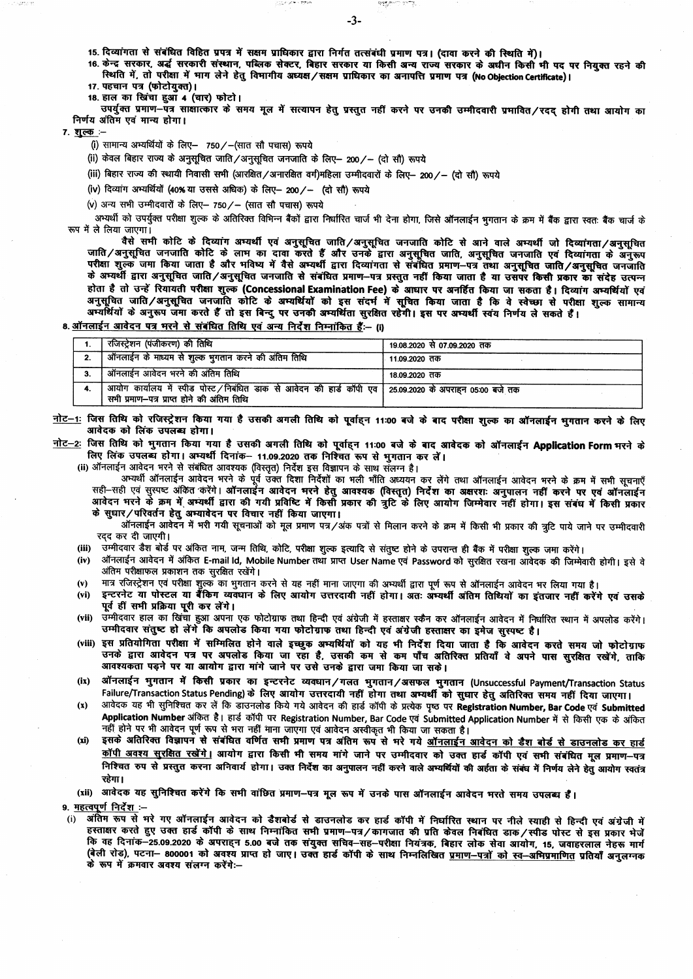15. दिव्यांगता से संबंधित विहित प्रपत्र में सक्षम प्राधिकार द्वारा निर्गत तत्संबंधी प्रमाण पत्र। (दावा करने की स्थिति में)।

the engine or provide

स्थिति में, तो परीक्षा में माग लेने हेतु विभागीय अध्यक्ष/सक्षम प्राधिकार का अनापत्ति प्रमाण पत्र (No Objection Certificate)।

17. पहचान पत्र (फोटोयुक्त)।

18. हाल का खिंचा हुआँ 4 (चार) फोटो।

उपर्यक्त प्रमाण-पत्र साक्षात्कार के समय मूल में सत्यापन हेतू प्रस्तुत नहीं करने पर उनकी उम्मीदवारी प्रमावित/रदद होगी तथा आयोग का निर्णय अंतिम एवं मान्य होगा।

7. शुल्क :-

(i) सामान्य अभ्यर्थियों के लिए- 750/-(सात सौ पचास) रूपये

(ii) केवल बिहार राज्य के अनुसूचित जाति/अनुसूचित जनजाति के लिए- 200/- (दो सौ) रूपये

(iii) बिहार राज्य की स्थायी निवासी सभी (आरक्षित / अनारक्षित वर्ग)महिला उम्मीदवारों के लिए– 200 /– (दो सौ) रूपये

(iv) दिव्यांग अभ्यर्थियों (40% या उससे अधिक) के लिए- 200/- (दो सौ) रूपये

 $(v)$  अन्य सभी उम्मीदवारों के लिए- 750/- (सात सौ पचास) रूपये

अभ्यर्थी को उपर्युक्त परीक्षा शुल्क के अतिरिक्त विभिन्न बैंकों द्वारा निर्धारित चार्ज भी देना होगा. जिसे ऑनलाईन भगतान के क्रम में बैंक द्वारा स्वतः बैंक चार्ज के रूप में ले लिया जाएगा।

वैसे सभी कोटि के दिव्यांग अभ्यर्थी एवं अनुसूचित जाति/अनुसूचित जनजाति कोटि से आने वाले अभ्यर्थी जो दिव्यांगता/अनुसूचित जाति/अनुसूचित जनजाति कोटि के लाभ का दावा करते हैं और उनके द्वारा अनुसूचित जाति, अनुसूचित जनजाति एवं दिव्यांगता<br>परीक्षा शुल्क जमा किया जाता है और भविष्य में वैसे अभ्यर्थी द्वारा दिव्यांगता से संबंधित प्रमाण-पत्र तथा अनुसूच के अभ्यर्थी द्वारा अनुसूचित जाति/अनुसूचित जनजाति से संबंधित प्रमाण–पत्र प्रस्तुत नहीं किया जाता है या उसपर किसी प्रकार का संदेह उत्पन्न होता है तो उन्हें रियायती परीक्षा शुल्क (Concessional Examination Fee) के आधार पर अनर्हित किया जा सकता है। दिव्यांग अभ्यर्थियों एवं अनुसूचित जाति/अनुसूचित जनजाति कोटि के अभ्यर्थियों को इस संदर्भ में सूचित किया जाता है कि वे स्वेच्छा से परीक्षा शुल्क सामान्य<br>अन्यर्थियों के अनुरूप जमा करते हैं तो इस बिन्दु पर उनकी अम्यर्थिता सुरक्षित रहेगी। इस पर अम्यर्

8. ऑनलाईन आवेदन पत्र भरने से संबंधित तिथि एवं अन्य निर्देश निम्नांकित हैं:-- (i)

| रजिस्ट्रेशन (पंजीकरण) की तिथि                                                                                                                             | 19.08.2020 से 07.09.2020 तक |
|-----------------------------------------------------------------------------------------------------------------------------------------------------------|-----------------------------|
| । ऑनलाईन के माध्यम से शुल्क भुगतान करने की अंतिम तिथि                                                                                                     | 11.09.2020 तक               |
| ऑनलाईन आवेदन भरने की अंतिम तिथि                                                                                                                           | 18.09.2020 तक               |
| े आयोग कार्यालय में स्पीड पोस्ट ⁄ निबंधित डाक से आवेदन की हार्ड कॉपी एव   25.09.2020 के अपराहन 05:00 बजे तक<br>सभी प्रमाण—पत्र प्राप्त होने की अंतिम तिथि |                             |

नोट-1: जिस तिथि को रजिस्ट्रेशन किया गया है उसकी अगली तिथि को पूर्वाइन 11:00 बजे के बाद परीक्षा शुल्क का ऑनलाईन भगतान करने के लिए आवेदक को लिंक उपलब्ध होगा।

नोट-2: जिस तिथि को भुगतान किया गया है उसकी अगली तिथि को पूर्वाहन 11:00 बजे के बाद आवेदक को ऑनलाईन Application Form भरने के लिए लिंक उपलब्ध होगा। अभ्यर्थी दिनांक- 11.09.2020 तक निश्चित रूप से भुगतान कर लें।

(ii) ऑनलाईन आवेदन भरने से संबंधित आवश्यक (विस्तृत) निर्देश इस विज्ञापन के साथ संलग्न है।

अभ्यर्थी ऑनलाईन आवेदन भरने के पूर्व उक्त दिशा निर्देशों का भली भाँति अध्ययन कर लेंगे तथा ऑनलाईन आवेदन भरने के क्रम में सभी सूचनाएँ सही-सही एवं सुस्पष्ट अंकित करेंगे। ऑनलाईन आवेदन भरने हेतु आवश्यक (विस्तृत) निर्देश का अक्षरशः अनुपालन नहीं करने पर एवं ऑनलाईन आवेदन मरने के क्रम में अभ्यर्थी द्वारा की गयी प्रविष्टि में किसी प्रकार की त्रुटि के लिए आयोग जिम्मेवार नहीं होगा। इस संबंध में किसी प्रकार के सुधार/परिवर्तन हेतु अभ्यावेदन पर विचार नहीं किया जाएगा।

ऑनलाईन आवेदन में भरी गयी सूचनाओं को मूल प्रमाण पत्र/अंक पत्रों से मिलान करने के क्रम में किसी भी प्रकार की त्रटि पाये जाने पर उम्मीदवारी रदद कर दी जाएगी।

उम्मीदवार डैश बोर्ड पर अंकित नाम, जन्म तिथि, कोटि, परीक्षा शुल्क इत्यादि से संतुष्ट होने के उपरान्त ही बैंक में परीक्षा शुल्क जमा करेंगे।  $(iii)$ 

- ऑनलाईन आवेदन में अंकित E-mail ld, Mobile Number तथा प्राप्त User Name एवं Password को सुरक्षित रखना ऑवेदक की जिम्मेवारी होगी। इसे वे  $(iv)$ अंतिम परीक्षाफल प्रकाशन तक सुरक्षित रखेंगे।
- मात्र रजिस्ट्रेशन एवं परीक्षा शुल्क का भुगतान करने से यह नहीं माना जाएगा की अभ्यर्थी द्वारा पूर्ण रूप से ऑनलाईन आवेदन भर लिया गया है।  $(v)$
- इन्टरनेट या पोस्टल या बैंकिंग व्यवंधान के लिए आयोग उत्तरदायी नहीं होगा। अतः अभ्यर्थी अंतिम तिथियों का इंतजार नहीं करेंगे एवं उसके  $(vi)$ पूर्व हीं सभी प्रक्रिया पूरी कर लेंगे।
- (vii) उम्मीदवार हाल का खिंचा हुआ अपना एक फोटोग्राफ तथा हिन्दी एवं अंग्रेजी में हस्ताक्षर स्कैन कर ऑनलाईन आवेदन में निर्धारित स्थान में अपलोड करेंगे। उम्मीदवार संतुष्ट हो लेंगे कि अपलोड किया गया फोटोग्राफ तथा हिन्दी एवं अंग्रेजी हस्ताक्षर का इमेज सुस्पष्ट है।
- (viii) इस प्रतियोगिता परीक्षा में सम्मिलित होने वाले इच्छूक अभ्यर्थियों को यह भी निर्देश दिया जाता है कि आवेदन करते समय जो फोटोग्राफ उनके द्वारा आवेदन पत्र पर अपलोड किया जा रहा है, उसकी कम से कम पाँच अतिरिक्त प्रतियाँ वे अपने पास सुरक्षित रखेंगे, ताकि आवश्यकता पड़ने पर या आयोग द्वारा मांगे जाने पर उसे उनके द्वारा जमा किया जा सके।
- ऑनलाईन भुगतान में किसी प्रकार का इन्टरनेट व्यवघान/गलत भुगतान/असफल भुगतान (Unsuccessful Payment/Transaction Status  $(ix)$ Failure/Transaction Status Pending) के लिए आयोग उत्तरदायी नहीं होगा तथा अभ्यर्थी को सुधार हेतु अतिरिक्त समय नहीं दिया जाएगा।
- आवेदक यह भी सुनिश्चित कर लें कि डॉउनलोड किये गये आवेदन की हार्ड कॉपी के प्रत्येक पृष्ठ पर Registration Number, Bar Code एवं Submitted  $(x)$ Application Number अंकित है। हार्ड कॉपी पर Registration Number, Bar Code एवं Submitted Application Number में से किसी एक के अंकित
- इसके अतिरिक्त विज्ञापन से संबंधित वर्णित सभी प्रमाण पत्र अंतिम रूप से भरे गये <u>ऑनलाईन आवेदन को डैश बोर्ड से डाउनलोड कर हार्ड</u>  $(xi)$ <u>कॉपी अवश्य सुरक्षित रखेंगे</u>। आयोग द्वारा किसी भी समय मांगे जाने पर उम्मीदवार को उक्त हार्ड कॉपी एवं सभी संबंधित मूल प्रमाण-पत्र निश्चित रुप से प्रस्तुत करना अनिवार्य होगा। उक्त निर्देश का अनुपालन नहीं करने वाले अभ्यर्थियों की अईता के संबंध में निर्णय लेने हेतु आयोग स्वतंत्र रहेगा।
- (xii) आवेदक यह सुनिश्चित करेंगे कि सभी वांछित प्रमाण-पत्र मूल रूप में उनके पास ऑनलाईन आवेदन भरते समय उपलब्ध हैं।

9. महत्वपूर्ण निर्देश :-

अंतिम रूप से भरे गए ऑनलाईन आवेदन को डैशबोर्ड से डाउनलोड कर हार्ड कॉपी में निर्धारित स्थान पर नीले स्याही से हिन्दी एवं अंग्रेजी में हस्ताक्षर करते हुए उक्त हार्ड कॉपी के साथ निम्नांकित सभी प्रमाण–पत्र/कागजात की प्रति केवल निबंधित डाक/स्पीड पोस्ट से इस प्रकार भेजें कि वह दिनांक-25.09.2020 के अपराहन 5.00 बजे तक संयुक्त सचिव-सह-परीक्षा नियंत्रक, बिहार लोक सेवा आयोग, 15, जवाहरलाल नेहरू मार्ग (बेली रोड), पटना- 800001 को अवश्य प्राप्त हो जाए। उक्त हार्ड कॉपी के साथ निम्नलिखित <u>प्रमाण-पत्रों को स्व-अभिप्रमाणित</u> प्रतियाँ अनुलग्नक ्<br>के रूप में क्रमवार अवश्य संलग्न करेंगे:--

 $-3-$ 

**Respects on the**